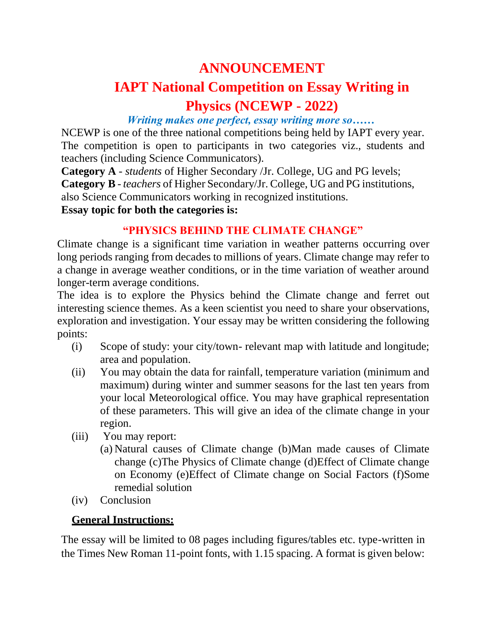# **ANNOUNCEMENT**

## **IAPT National Competition on Essay Writing in Physics (NCEWP - 2022)**

#### *Writing makes one perfect, essay writing more so……*

NCEWP is one of the three national competitions being held by IAPT every year. The competition is open to participants in two categories viz., students and teachers (including Science Communicators).

**Category A** - *students* of Higher Secondary /Jr. College, UG and PG levels; **Category B** - *teachers* of Higher Secondary/Jr. College, UG and PG institutions, also Science Communicators working in recognized institutions. **Essay topic for both the categories is:**

### **"PHYSICS BEHIND THE CLIMATE CHANGE"**

Climate change is a significant time variation in weather patterns occurring over long periods ranging from decades to millions of years. Climate change may refer to a change in average weather conditions, or in the time variation of weather around longer-term average conditions.

The idea is to explore the Physics behind the Climate change and ferret out interesting science themes. As a keen scientist you need to share your observations, exploration and investigation. Your essay may be written considering the following points:

- (i) Scope of study: your city/town- relevant map with latitude and longitude; area and population.
- (ii) You may obtain the data for rainfall, temperature variation (minimum and maximum) during winter and summer seasons for the last ten years from your local Meteorological office. You may have graphical representation of these parameters. This will give an idea of the climate change in your region.
- (iii) You may report:
	- (a) Natural causes of Climate change (b)Man made causes of Climate change (c)The Physics of Climate change (d)Effect of Climate change on Economy (e)Effect of Climate change on Social Factors (f)Some remedial solution
- (iv) Conclusion

### **General Instructions:**

The essay will be limited to 08 pages including figures/tables etc. type-written in the Times New Roman 11-point fonts, with 1.15 spacing. A format is given below: